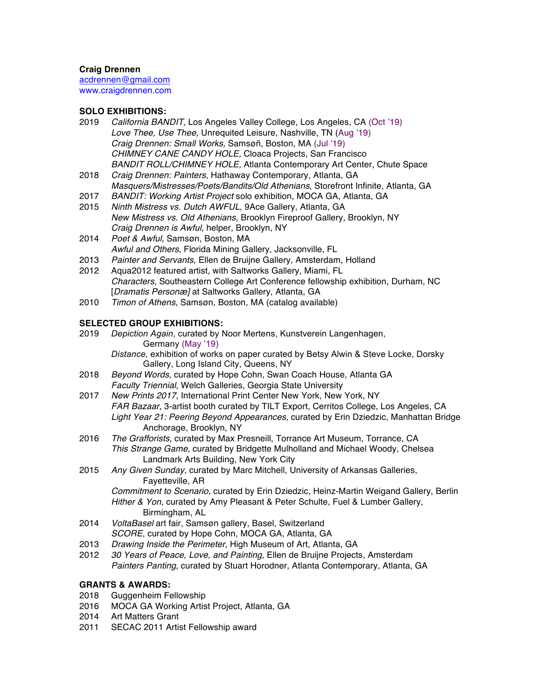### **Craig Drennen**

acdrennen@gmail.com www.craigdrennen.com

# **SOLO EXHIBITIONS:**

- 2019 *California BANDIT*, Los Angeles Valley College, Los Angeles, CA (Oct '19) *Love Thee, Use Thee,* Unrequited Leisure, Nashville, TN (Aug '19) *Craig Drennen: Small Works,* Samsøñ, Boston, MA (Jul '19) *CHIMNEY CANE CANDY HOLE,* Cloaca Projects, San Francisco *BANDIT ROLL/CHIMNEY HOLE,* Atlanta Contemporary Art Center, Chute Space
- 2018 *Craig Drennen: Painters*, Hathaway Contemporary, Atlanta, GA *Masquers/Mistresses/Poets/Bandits/Old Athenians*, Storefront Infinite, Atlanta, GA
- 2017 *BANDIT: Working Artist Project* solo exhibition, MOCA GA, Atlanta, GA
- 2015 *Ninth Mistress vs. Dutch AWFUL*, 9Ace Gallery, Atlanta, GA *New Mistress vs. Old Athenians*, Brooklyn Fireproof Gallery, Brooklyn, NY *Craig Drennen is Awful*, helper, Brooklyn, NY
- 2014 *Poet & Awful*, Samsøn, Boston, MA *Awful and Others*, Florida Mining Gallery, Jacksonville, FL
- 2013 *Painter and Servants,* Ellen de Bruijne Gallery, Amsterdam, Holland
- 2012 Aqua2012 featured artist, with Saltworks Gallery, Miami, FL *Characters*, Southeastern College Art Conference fellowship exhibition, Durham, NC [*Dramatis Personæ]* at Saltworks Gallery, Atlanta, GA
- 2010 *Timon of Athens*, Samsøn, Boston, MA (catalog available)

# **SELECTED GROUP EXHIBITIONS:**

- 2019 *Depiction Again*, curated by Noor Mertens, Kunstverein Langenhagen, Germany (May '19) *Distance,* exhibition of works on paper curated by Betsy Alwin & Steve Locke, Dorsky
- Gallery, Long Island City, Queens, NY 2018 *Beyond Words,* curated by Hope Cohn, Swan Coach House, Atlanta GA *Faculty Triennial*, Welch Galleries, Georgia State University
- 2017 *New Prints 2017*, International Print Center New York, New York, NY *FAR Bazaar*, 3-artist booth curated by TILT Export, Cerritos College, Los Angeles, CA *Light Year 21: Peering Beyond Appearances,* curated by Erin Dziedzic, Manhattan Bridge Anchorage, Brooklyn, NY
- 2016 *The Grafforists*, curated by Max Presneill, Torrance Art Museum, Torrance, CA *This Strange Game,* curated by Bridgette Mulholland and Michael Woody, Chelsea Landmark Arts Building, New York City
- 2015 *Any Given Sunday*, curated by Marc Mitchell, University of Arkansas Galleries, Fayetteville, AR

*Commitment to Scenario,* curated by Erin Dziedzic, Heinz-Martin Weigand Gallery, Berlin *Hither & Yon,* curated by Amy Pleasant & Peter Schulte, Fuel & Lumber Gallery, Birmingham, AL

- 2014 *VoltaBasel* art fair, Samsøn gallery, Basel, Switzerland *SCORE*, curated by Hope Cohn, MOCA GA, Atlanta, GA
- 2013 *Drawing Inside the Perimeter,* High Museum of Art, Atlanta, GA
- 2012 *30 Years of Peace, Love, and Painting*, Ellen de Bruijne Projects, Amsterdam *Painters Panting*, curated by Stuart Horodner, Atlanta Contemporary, Atlanta, GA

### **GRANTS & AWARDS:**

- 2018 Guggenheim Fellowship
- 2016 MOCA GA Working Artist Project, Atlanta, GA
- 2014 Art Matters Grant
- 2011 SECAC 2011 Artist Fellowship award